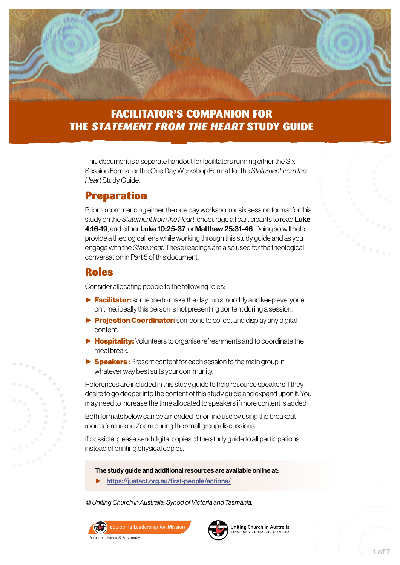

### FACILITATOR'S COMPANION FOR THE *STATEMENT FROM THE HEART* STUDY GUIDE

This document is a separate handout for facilitators running either the Six Session Format or the One Day Workshop Format for the *Statement from the Heart* Study Guide.

#### Preparation

Prior to commencing either the one day workshop or six session format for this study on the *Statement from the Heart*, encourage all participants to read Luke 4:16-19, and either Luke 10:25-37, or Matthew 25:31-46. Doing so will help provide a theological lens while working through this study guide and as you engage with the *Statement*. These readings are also used for the theological conversation in Part 5 of this document.

#### Roles

Consider allocating people to the following roles;

- ► Facilitator: someone to make the day run smoothly and keep everyone on time, ideally this person is not presenting content during a session.
- ► Projection Coordinator: someone to collect and display any digital content.
- ► Hospitality: Volunteers to organise refreshments and to coordinate the meal break.
- ► Speakers: Present content for each session to the main group in whatever way best suits your community.

References are included in this study guide to help resource speakers if they desire to go deeper into the content of this study guide and expand upon it. You may need to increase the time allocated to speakers if more content is added.

Both formats below can be amended for online use by using the breakout rooms feature on Zoom during the small group discussions.

If possible, please send digital copies of the study guide to all participations instead of printing physical copies.

The study guide and additional resources are available online at:

► <https://justact.org.au/first-people/actions/>

*© Uniting Church in Australia, Synod of Victoria and Tasmania.* 





Uniting Church in Australia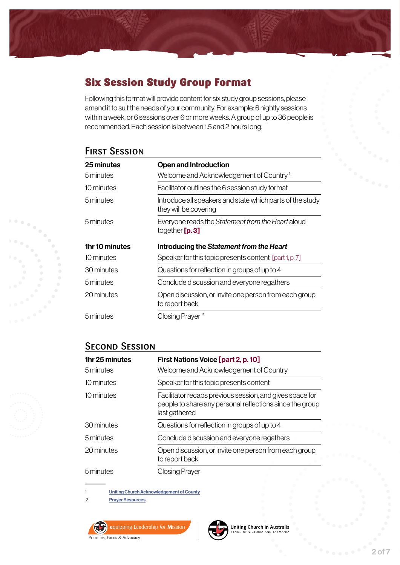# Six Session Study Group Format

Following this format will provide content for six study group sessions, please amend it to suit the needs of your community. For example: 6 nightly sessions within a week, or 6 sessions over 6 or more weeks. A group of up to 36 people is recommended. Each session is between 1.5 and 2 hours long.

### **FIRST SESSION**

| 25 minutes<br>5 minutes | <b>Open and Introduction</b><br>Welcome and Acknowledgement of Country <sup>1</sup> |
|-------------------------|-------------------------------------------------------------------------------------|
| 10 minutes              | Facilitator outlines the 6 session study format                                     |
| 5 minutes               | Introduce all speakers and state which parts of the study<br>they will be covering  |
| 5 minutes               | Everyone reads the Statement from the Heart aloud<br>together $[p.3]$               |
|                         |                                                                                     |
| 1hr 10 minutes          | Introducing the Statement from the Heart                                            |
| 10 minutes              | Speaker for this topic presents content [part 1, p. 7]                              |
| 30 minutes              | Questions for reflection in groups of up to 4                                       |
| 5 minutes               | Conclude discussion and everyone regathers                                          |
| 20 minutes              | Open discussion, or invite one person from each group<br>to report back             |

#### **SECOND SESSION**

| 1hr 25 minutes | First Nations Voice [part 2, p. 10]                                                                                                   |
|----------------|---------------------------------------------------------------------------------------------------------------------------------------|
| 5 minutes      | Welcome and Acknowledgement of Country                                                                                                |
| 10 minutes     | Speaker for this topic presents content                                                                                               |
| 10 minutes     | Facilitator recaps previous session, and gives space for<br>people to share any personal reflections since the group<br>last gathered |
| 30 minutes     | Questions for reflection in groups of up to 4                                                                                         |
| 5 minutes      | Conclude discussion and everyone regathers                                                                                            |
| 20 minutes     | Open discussion, or invite one person from each group<br>to report back                                                               |
| 5 minutes      | Closing Prayer                                                                                                                        |

1 [Uniting Church Acknowledgement of County](https://illuminate.recollect.net.au/nodes/view/17507?keywords=acknowledgement&type=all&highlights=WyJhY2tub3dsZWRnZW1lbnQiXQ)

2 [Prayer Resources](https://illuminate.recollect.net.au/nodes/view/17809?keywords=preamble&type=all&highlights=WyJwcmVhbWJsZSJd)





Uniting Church in Australia VICTORIA AND TASMANIA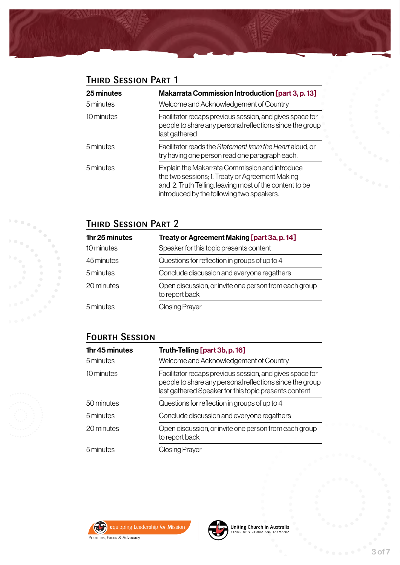# **THIRD SESSION PART 1**

| 25 minutes<br>5 minutes | Makarrata Commission Introduction [part 3, p. 13]<br>Welcome and Acknowledgement of Country                                                                                                               |
|-------------------------|-----------------------------------------------------------------------------------------------------------------------------------------------------------------------------------------------------------|
| 10 minutes              | Facilitator recaps previous session, and gives space for<br>people to share any personal reflections since the group<br>last gathered                                                                     |
| 5 minutes               | Facilitator reads the Statement from the Heart aloud, or<br>try having one person read one paragraph each.                                                                                                |
| 5 minutes               | Explain the Makarrata Commission and introduce<br>the two sessions; 1. Treaty or Agreement Making<br>and 2. Truth Telling, leaving most of the content to be<br>introduced by the following two speakers. |

## Third Session Part 2

| 1hr 25 minutes | Treaty or Agreement Making [part 3a, p. 14]                             |
|----------------|-------------------------------------------------------------------------|
| 10 minutes     | Speaker for this topic presents content                                 |
| 45 minutes     | Questions for reflection in groups of up to 4                           |
| 5 minutes      | Conclude discussion and everyone regathers                              |
| 20 minutes     | Open discussion, or invite one person from each group<br>to report back |
| 5 minutes      | <b>Closing Prayer</b>                                                   |

## Fourth Session

| 1hr 45 minutes | Truth-Telling [part 3b, p. 16]                                                                                                                                                |
|----------------|-------------------------------------------------------------------------------------------------------------------------------------------------------------------------------|
| 5 minutes      | Welcome and Acknowledgement of Country                                                                                                                                        |
| 10 minutes     | Facilitator recaps previous session, and gives space for<br>people to share any personal reflections since the group<br>last gathered Speaker for this topic presents content |
| 50 minutes     | Questions for reflection in groups of up to 4                                                                                                                                 |
| 5 minutes      | Conclude discussion and everyone regathers                                                                                                                                    |
| 20 minutes     | Open discussion, or invite one person from each group<br>to report back                                                                                                       |
| 5 minutes      | Closing Prayer                                                                                                                                                                |



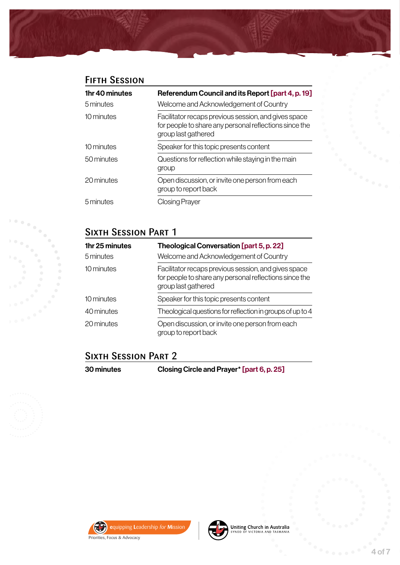# **FIFTH SESSION**

| 1 <sub>hr</sub> 40 minutes<br>5 minutes | Referendum Council and its Report [part 4, p. 19]<br>Welcome and Acknowledgement of Country                                           |
|-----------------------------------------|---------------------------------------------------------------------------------------------------------------------------------------|
| 10 minutes                              | Facilitator recaps previous session, and gives space<br>for people to share any personal reflections since the<br>group last gathered |
| 10 minutes                              | Speaker for this topic presents content                                                                                               |
| 50 minutes                              | Questions for reflection while staying in the main<br>group                                                                           |
| 20 minutes                              | Open discussion, or invite one person from each<br>group to report back                                                               |
| 5 minutes                               | Closing Prayer                                                                                                                        |

# **SIXTH SESSION PART 1**

| 1 <sub>hr</sub> 25 minutes | Theological Conversation [part 5, p. 22]                                                                                              |
|----------------------------|---------------------------------------------------------------------------------------------------------------------------------------|
| 5 minutes                  | Welcome and Acknowledgement of Country                                                                                                |
| 10 minutes                 | Facilitator recaps previous session, and gives space<br>for people to share any personal reflections since the<br>group last gathered |
| 10 minutes                 | Speaker for this topic presents content                                                                                               |
| 40 minutes                 | Theological questions for reflection in groups of up to 4                                                                             |
| 20 minutes                 | Open discussion, or invite one person from each<br>group to report back                                                               |

# **SIXTH SESSION PART 2**

| 30 minutes | Closing Circle and Prayer* [part 6, p. 25] |
|------------|--------------------------------------------|
|------------|--------------------------------------------|





Uniting Church in Australia<br>SYNOD OF VICTORIA AND TASMANIA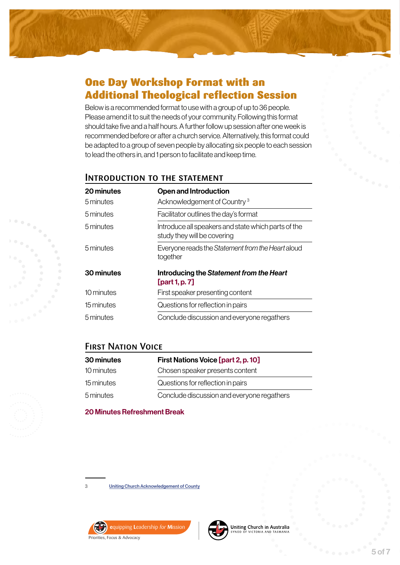

### One Day Workshop Format with an Additional Theological reflection Session

Below is a recommended format to use with a group of up to 36 people. Please amend it to suit the needs of your community. Following this format should take five and a half hours. A further follow up session after one week is recommended before or after a church service. Alternatively, this format could be adapted to a group of seven people by allocating six people to each session to lead the others in, and 1 person to facilitate and keep time.

#### Introduction to the statement

| 20 minutes<br>5 minutes | Open and Introduction<br>Acknowledgement of Country <sup>3</sup>                   |
|-------------------------|------------------------------------------------------------------------------------|
| 5 minutes               | Facilitator outlines the day's format                                              |
| 5 minutes               | Introduce all speakers and state which parts of the<br>study they will be covering |
| 5 minutes               | Everyone reads the Statement from the Heart aloud<br>together                      |
| 30 minutes              | Introducing the Statement from the Heart<br>[part 1, p. $7$ ]                      |
| 10 minutes              | First speaker presenting content                                                   |
| 15 minutes              | Questions for reflection in pairs                                                  |
| 5 minutes               | Conclude discussion and everyone regathers                                         |

#### **FIRST NATION VOICE**

| 30 minutes | First Nations Voice [part 2, p. 10]        |
|------------|--------------------------------------------|
| 10 minutes | Chosen speaker presents content            |
| 15 minutes | Questions for reflection in pairs          |
| 5 minutes  | Conclude discussion and everyone regathers |

20 Minutes Refreshment Break

3 [Uniting Church Acknowledgement of County](https://illuminate.recollect.net.au/nodes/view/17507?keywords=acknowledgement&type=all&highlights=WyJhY2tub3dsZWRnZW1lbnQiXQ)





Uniting Church in Australia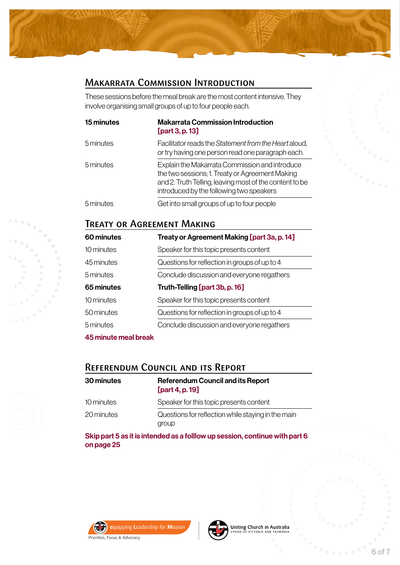#### Makarrata Commission Introduction

These sessions before the meal break are the most content intensive. They involve organising small groups of up to four people each.

| 15 minutes | <b>Makarrata Commission Introduction</b><br>[part 3, p. 13]                                                                                                                                              |
|------------|----------------------------------------------------------------------------------------------------------------------------------------------------------------------------------------------------------|
| 5 minutes  | Facilitator reads the Statement from the Heart aloud,<br>or try having one person read one paragraph each.                                                                                               |
| 5 minutes  | Explain the Makarrata Commission and introduce<br>the two sessions; 1. Treaty or Agreement Making<br>and 2. Truth Telling, leaving most of the content to be<br>introduced by the following two speakers |
| 5 minutes  | Get into small groups of up to four people                                                                                                                                                               |

#### Treaty or Agreement Making

| 60 minutes                          | Treaty or Agreement Making [part 3a, p. 14]   |
|-------------------------------------|-----------------------------------------------|
| 10 minutes                          | Speaker for this topic presents content       |
| 45 minutes                          | Questions for reflection in groups of up to 4 |
| 5 minutes                           | Conclude discussion and everyone regathers    |
| 65 minutes                          | Truth-Telling [part 3b, p. 16]                |
| 10 minutes                          | Speaker for this topic presents content       |
| 50 minutes                          | Questions for reflection in groups of up to 4 |
| 5 minutes                           | Conclude discussion and everyone regathers    |
| AF policed a provide the collection |                                               |

45 minute meal break

### Referendum Council and its Report

| 30 minutes | <b>Referendum Council and its Report</b><br>[part 4, p. $19$ ] |
|------------|----------------------------------------------------------------|
| 10 minutes | Speaker for this topic presents content                        |
| 20 minutes | Questions for reflection while staying in the main<br>group    |
|            |                                                                |

Skip part 5 as it is intended as a folllow up session, continue with part 6 on page 25